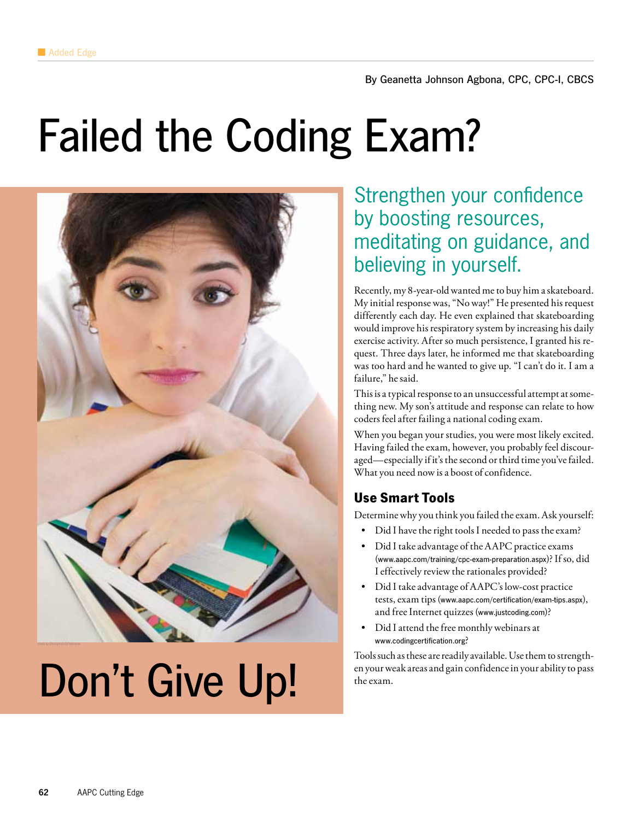## Failed the Coding Exam?



# Don't Give Up!

## Strengthen your confidence by boosting resources, meditating on guidance, and believing in yourself.

Recently, my 8-year-old wanted me to buy him a skateboard. My initial response was, "No way!" He presented his request differently each day. He even explained that skateboarding would improve his respiratory system by increasing his daily exercise activity. After so much persistence, I granted his request. Three days later, he informed me that skateboarding was too hard and he wanted to give up. "I can't do it. I am a failure," he said.

This is a typical response to an unsuccessful attempt at something new. My son's attitude and response can relate to how coders feel after failing a national coding exam.

When you began your studies, you were most likely excited. Having failed the exam, however, you probably feel discouraged—especially if it's the second or third time you've failed. What you need now is a boost of confidence.

## **Use Smart Tools**

Determine why you think you failed the exam. Ask yourself:

- Did I have the right tools I needed to pass the exam?
- Did I take advantage of the AAPC practice exams (www.aapc.com/training/cpc-exam-preparation.aspx)? If so, did I effectively review the rationales provided?
- Did I take advantage of AAPC's low-cost practice tests, exam tips (www.aapc.com/certification/exam-tips.aspx), and free Internet quizzes (www.justcoding.com)?
- Did I attend the free monthly webinars at www.codingcertification.org?

Tools such as these are readily available. Use them to strengthen your weak areas and gain confidence in your ability to pass the exam.